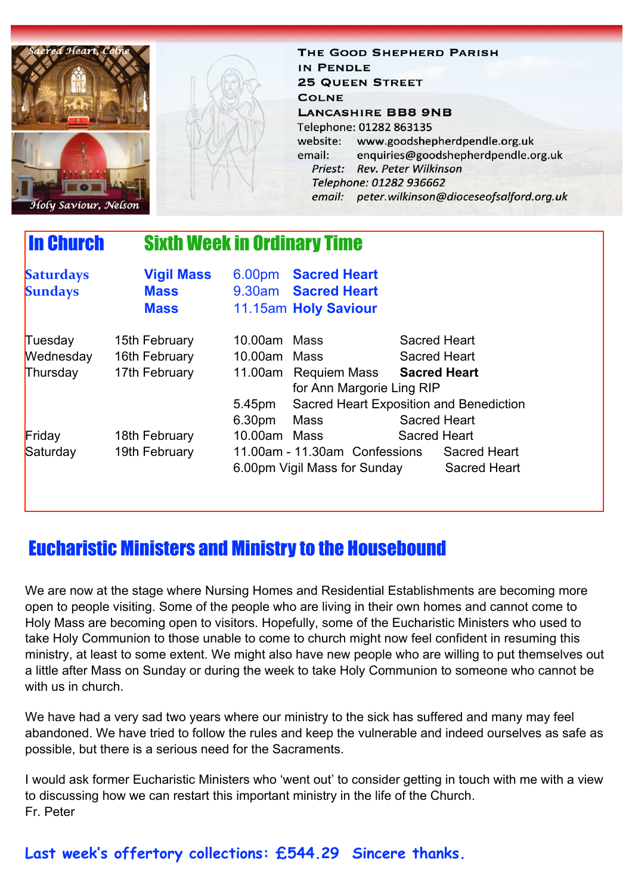

THE GOOD SHEPHERD PARISH IN PENDLE **25 QUEEN STREET COLNE LANCASHIRE BB8 9NB** Telephone: 01282 863135 website: www.goodshepherdpendle.org.uk email: enquiries@goodshepherdpendle.org.uk Priest: Rev. Peter Wilkinson Telephone: 01282 936662 email: peter.wilkinson@dioceseofsalford.org.uk

# In Church Sixth Week in Ordinary Time

| <b>Saturdays</b><br><b>Sundays</b> | <b>Vigil Mass</b><br><b>Mass</b><br><b>Mass</b> |              | 6.00pm Sacred Heart<br>9.30am Sacred Heart<br>11.15am Holy Saviour |                     |                                            |
|------------------------------------|-------------------------------------------------|--------------|--------------------------------------------------------------------|---------------------|--------------------------------------------|
| Tuesday                            | 15th February                                   | 10.00am Mass |                                                                    | <b>Sacred Heart</b> |                                            |
| Wednesday                          | 16th February                                   | 10.00am Mass |                                                                    | <b>Sacred Heart</b> |                                            |
| Thursday                           | 17th February                                   |              | 11.00am Requiem Mass                                               | <b>Sacred Heart</b> |                                            |
|                                    |                                                 |              | for Ann Margorie Ling RIP                                          |                     |                                            |
|                                    |                                                 | 5.45pm       | Sacred Heart Exposition and Benediction                            |                     |                                            |
|                                    |                                                 | 6.30pm       | Mass                                                               | <b>Sacred Heart</b> |                                            |
| Friday                             | 18th February                                   | 10.00am      | Mass                                                               | <b>Sacred Heart</b> |                                            |
| Saturday                           | 19th February                                   |              | 11.00am - 11.30am Confessions<br>6.00pm Vigil Mass for Sunday      |                     | <b>Sacred Heart</b><br><b>Sacred Heart</b> |

## Eucharistic Ministers and Ministry to the Housebound

We are now at the stage where Nursing Homes and Residential Establishments are becoming more open to people visiting. Some of the people who are living in their own homes and cannot come to Holy Mass are becoming open to visitors. Hopefully, some of the Eucharistic Ministers who used to take Holy Communion to those unable to come to church might now feel confident in resuming this ministry, at least to some extent. We might also have new people who are willing to put themselves out a little after Mass on Sunday or during the week to take Holy Communion to someone who cannot be with us in church.

We have had a very sad two years where our ministry to the sick has suffered and many may feel abandoned. We have tried to follow the rules and keep the vulnerable and indeed ourselves as safe as possible, but there is a serious need for the Sacraments.

I would ask former Eucharistic Ministers who 'went out' to consider getting in touch with me with a view to discussing how we can restart this important ministry in the life of the Church. Fr. Peter

### **Last week's offertory collections: £544.29 Sincere thanks.**